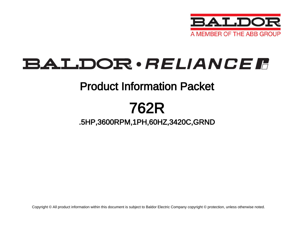

# **BALDOR** · RELIANCE F

## Product Information Packet

## 762R

### .5HP,3600RPM,1PH,60HZ,3420C,GRND

Copyright © All product information within this document is subject to Baldor Electric Company copyright © protection, unless otherwise noted.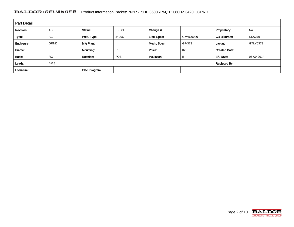### BALDOR · RELIANCE F Product Information Packet: 762R - .5HP,3600RPM,1PH,60HZ,3420C,GRND

| <b>Part Detail</b> |             |                  |                |             |          |                      |            |
|--------------------|-------------|------------------|----------------|-------------|----------|----------------------|------------|
| Revision:          | AS          | Status:          | PRD/A          | Change #:   |          | Proprietary:         | No         |
| Type:              | AC          | Prod. Type:      | 3420C          | Elec. Spec: | G7WG0030 | CD Diagram:          | CD0279     |
| Enclosure:         | <b>GRND</b> | Mfg Plant:       |                | Mech. Spec: | G7-373   | Layout:              | G7LY0373   |
| Frame:             |             | Mounting:        | F <sub>1</sub> | Poles:      | 02       | <b>Created Date:</b> |            |
| Base:              | <b>RG</b>   | <b>Rotation:</b> | <b>FOS</b>     | Insulation: | B        | Eff. Date:           | 06-09-2014 |
| Leads:             | 4#18        |                  |                |             |          | Replaced By:         |            |
| Literature:        |             | Elec. Diagram:   |                |             |          |                      |            |

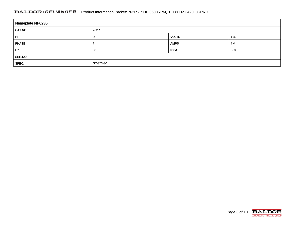### BALDOR · RELIANCE F Product Information Packet: 762R - .5HP,3600RPM,1PH,60HZ,3420C,GRND

| Nameplate NP0235 |           |              |      |
|------------------|-----------|--------------|------|
| CAT.NO.          | 762R      |              |      |
| HP               | .5        | <b>VOLTS</b> | 115  |
| <b>PHASE</b>     |           | <b>AMPS</b>  | 3.4  |
| HZ               | 60        | <b>RPM</b>   | 3600 |
| <b>SER.NO</b>    |           |              |      |
| SPEC.            | G7-373-30 |              |      |

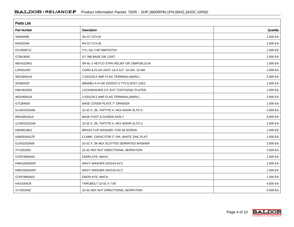| <b>Parts List</b> |                                          |          |  |
|-------------------|------------------------------------------|----------|--|
| Part Number       | <b>Description</b>                       | Quantity |  |
| SA004999          | SA G7-373-30                             | 1.000 EA |  |
| RA002349          | RA G7-373-30                             | 1.000 EA |  |
| OC3006F12         | CYL OIL CAP 6MFD/370V                    | 1.000 EA |  |
| G7BA3000          | G7-286 BASE DIE CAST                     | 1.000 EA |  |
| WD4102A01         | SR-6L-1 HEYCO STRN RELIEF OR 23MPO6L10 M | 1.000 EA |  |
| LD5001A07         | CORD & PLUG ASSY 18-3 SJT .33 DIA. 10 AM | 1.000 EA |  |
| WD1000A16         | 2-520128-2 AMP FLAG TERMINAL(4M/RL)      | 2.000 EA |  |
| SP9000SP          | 80600BJ A-H OR 1520237-2 TYCO;2PST,125/2 | 1.000 EA |  |
| HW1003A50         | LOCKWASHER, 1/2", EXT. TOOTHZINC PLATED  | 1.000 EA |  |
| WD1000A16         | 2-520128-2 AMP FLAG TERMINAL(4M/RL)      | 2.000 EA |  |
| G7CB4500          | <b>BASE COVER PLATE 7" GRINDER</b>       | 1.000 EA |  |
| 51XW1032A06       | 10-32 X .38, TAPTITE II, HEX WSHR SLTD S | 2.000 EA |  |
| RM1005A01A        | <b>BASE FOOT &amp; SCREW ASSLY</b>       | 4.000 EA |  |
| 11XW1032G06       | 10-32 X .38, TAPTITE II, HEX WSHR SLTD U | 1.000 EA |  |
| HW3001B01         | BRASS CUP WASHER, FOR #8 SCREW           | 1.000 EA |  |
| HA6053A01ZP       | CLAMP, CAPACITOR 2" DIA, WHITE ZINC PLAT | 1.000 EA |  |
| 51XN1032A06       | 10-32 X .38 HEX SLOTTED SERRATED WASHER  | 2.000 EA |  |
| XY1032A02         | 10-32 HEX NUT DIRECTIONAL SERRATION      | 2.000 EA |  |
| G7EP3900A01       | ENDPLATE, MACH                           | 1.000 EA |  |
| HW5100A03SP       | WAVY WASHER (W1543-017)                  | 1.000 EA |  |
| HW5100A03SP       | WAVY WASHER (W1543-017)                  | 1.000 EA |  |
| G7EP3900A01       | ENDPLATE, MACH                           | 1.000 EA |  |
| HA3100A29         | THRUBOLT 10-32 X 7.00                    | 4.000 EA |  |
| XY1032A02         | 10-32 HEX NUT DIRECTIONAL SERRATION      | 4.000 EA |  |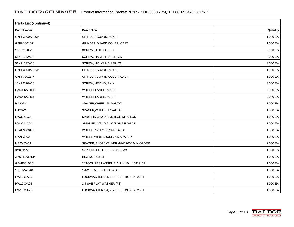| <b>Parts List (continued)</b> |                                          |          |  |
|-------------------------------|------------------------------------------|----------|--|
| <b>Part Number</b>            | Description                              | Quantity |  |
| G7FH3800A01SP                 | <b>GRINDER GUARD, MACH</b>               | 1.000 EA |  |
| G7FH3801SP                    | GRINDER GUARD COVER, CAST                | 1.000 EA |  |
| 10XF2520A16                   | SCREW, HEX HD, ZN X                      | 3.000 EA |  |
| 51XF1032A10                   | SCREW, HX WS HD SER, ZN                  | 3.000 EA |  |
| 51XF1032A10                   | SCREW, HX WS HD SER, ZN                  | 3.000 EA |  |
| G7FH3800A01SP                 | <b>GRINDER GUARD, MACH</b>               | 1.000 EA |  |
| G7FH3801SP                    | GRINDER GUARD COVER, CAST                | 1.000 EA |  |
| 10XF2520A16                   | SCREW, HEX HD, ZN X                      | 3.000 EA |  |
| HA6096A01SP                   | WHEEL FLANGE, MACH                       | 2.000 EA |  |
| HA6096A01SP                   | WHEEL FLANGE, MACH                       | 2.000 EA |  |
| HA2072                        | SPACER, WHEEL FLG(AUTO)                  | 1.000 EA |  |
| HA2072                        | SPACER, WHEEL FLG(AUTO)                  | 1.000 EA |  |
| HW3021C04                     | SPRG PIN 3/32 DIA .375LGH DRIV-LOK       | 1.000 EA |  |
| HW3021C04                     | SPRG PIN 3/32 DIA .375LGH DRIV-LOK       | 1.000 EA |  |
| G7AP3000A01                   | WHEEL, 7 X 1 X 36 GRIT B73 X             | 1.000 EA |  |
| G7AP3002                      | WHEEL, WIRE BRUSH, #W70 W70 X            | 1.000 EA |  |
| HA2047A01                     | SPACER, 7" GR(WELKER#82452000 MIN ORDER  | 2.000 EA |  |
| XY6311A62                     | 5/8-11 NUT L.H. HEX (NC)X (F/S)          | 1.000 EA |  |
| XY6311A12SP                   | <b>HEX NUT 5/8-11</b>                    | 1.000 EA |  |
| G7AP5010A01                   | 7" TOOL REST ASSEMBLY L.H.10 45819107    | 1.000 EA |  |
| 10XN2520A08                   | 1/4-20X1/2 HEX HEAD CAP                  | 1.000 EA |  |
| HW1001A25                     | LOCKWASHER 1/4, ZINC PLT .493 OD, .255 I | 1.000 EA |  |
| HW1000A25                     | 1/4 SAE FLAT WASHER (FS)                 | 1.000 EA |  |
| HW1001A25                     | LOCKWASHER 1/4, ZINC PLT .493 OD, .255 I | 1.000 EA |  |

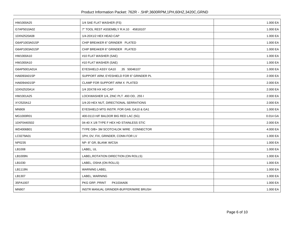| HW1000A25     | 1/4 SAE FLAT WASHER (FS)                 | 1.000 EA |
|---------------|------------------------------------------|----------|
| G7AP5010A02   | 7" TOOL REST ASSEMBLY R.H.10 45818107    | 1.000 EA |
| 10XN2520A08   | 1/4-20X1/2 HEX HEAD CAP                  | 1.000 EA |
| G6AP1003A01SP | CHIP BREAKER 6" GRINDER PLATED           | 1.000 EA |
| G6AP1003A01SP | CHIP BREAKER 6" GRINDER PLATED           | 1.000 EA |
| HW1000A10     | #10 FLAT WASHER (SAE)                    | 1.000 EA |
| HW1000A10     | #10 FLAT WASHER (SAE)                    | 1.000 EA |
| G6AP5001A01A  | EYESHIELD ASSY GA10<br>.35 50046107      | 1.000 EA |
| HA6093A01SP   | SUPPORT ARM, EYESHIELD FOR 6" GRINDER PL | 2.000 EA |
| HA6094A01SP   | CLAMP FOR SUPPORT ARM X PLATED           | 2.000 EA |
| 10XN2520A14   | 1/4 20X7/8 HX HD CAP                     | 2.000 EA |
| HW1001A25     | LOCKWASHER 1/4, ZINC PLT .493 OD, .255 I | 2.000 EA |
| XY2520A12     | 1/4-20 HEX NUT, DIRECTIONAL SERRATIONS   | 2.000 EA |
| MN909         | EYESHIELD MTG INSTR. FOR GA9, GA10 & GA1 | 1.000 EA |
| MG1000R01     | 400-0113 H/F BALDOR BIG RED LAC (5G)     | 0.014 GA |
| 10XF0440S02   | 04-40 X 1/8 TYPE F HEX HD STAINLESS STIC | 2.000 EA |
| WD4006B01     | TYPE O/B+ 3M SCOTCHLOK WIRE CONNECTOR    | 4.000 EA |
| LC0279A01     | 1PH, DV, FIX, GRINDER, CONN FOR LV       | 1.000 EA |
| NP0235        | NP-8" GR, BLANK W/CSA                    | 1.000 EA |
| LB1008        | LABEL, UL                                | 1.000 EA |
| LB1009N       | LABEL, ROTATION DIRECTION (ON ROLLS)     | 1.000 EA |
| LB1030        | LABEL, OSHA (ON ROLLS)                   | 1.000 EA |
| LB1119N       | <b>WARNING LABEL</b>                     | 1.000 EA |
| LB1307        | LABEL, WARNING                           | 1.000 EA |
| 35PA1007      | PKG GRP, PRINT<br>PK1034A06              | 1.000 EA |
| <b>MN907</b>  | INSTR MANUAL GRINDER-BUFFER/WIRE BRUSH   | 1.000 EA |
|               |                                          |          |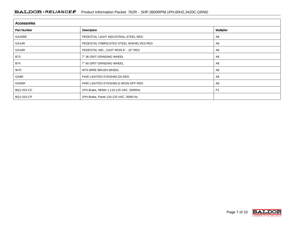| <b>Accessories</b> |                                         |                   |  |
|--------------------|-----------------------------------------|-------------------|--|
| <b>Part Number</b> | Description                             | <b>Multiplier</b> |  |
| GA16RE             | PEDESTAL LIGHT INDUSTRIAL, STEEL-RED    | A8                |  |
| GA14R              | PEDESTAL FABRICATED STEEL W/SHELVES-RED | A8                |  |
| GA16R              | PEDESTAL IND., CAST IRON 6" - 10" RED   | A8                |  |
| <b>B73</b>         | 7" 36 GRIT GRINDING WHEEL               | A8                |  |
| <b>B74</b>         | 7" 60 GRIT GRINDING WHEEL               | A8                |  |
| W70                | W70 WIRE BRUSH WHEEL                    | A8                |  |
| GA9R               | PAIR LIGHTED EYESHIELDS-RED             | A8                |  |
| GA9SR              | PAIR LIGHTED EYESHIELD W/ON-OFF-RED     | A8                |  |
| BQ1-015-CC         | 1PH Brake, NEMA 1,110-125 VAC, 50/60Hz  | P <sub>1</sub>    |  |
| BQ1-015-CP         | 1PH Brake, Panel 110-125 VAC, 50/60 Hz  |                   |  |

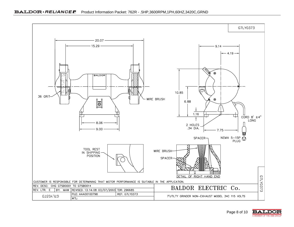